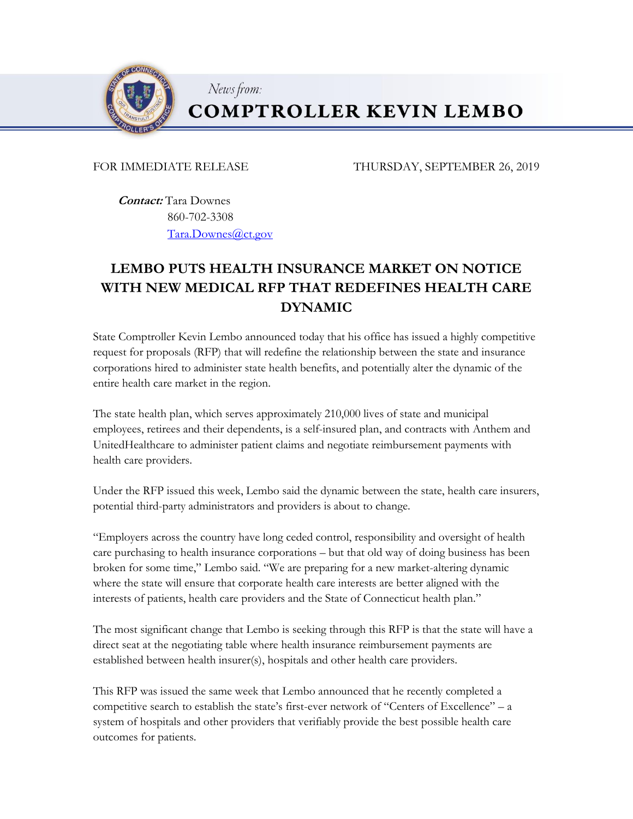

News from:

## **COMPTROLLER KEVIN LEMBO**

FOR IMMEDIATE RELEASE THURSDAY, SEPTEMBER 26, 2019

 **Contact:** Tara Downes 860-702-3308 [Tara.Downes@ct.gov](mailto:Tara.Downes@ct.gov)

## **LEMBO PUTS HEALTH INSURANCE MARKET ON NOTICE WITH NEW MEDICAL RFP THAT REDEFINES HEALTH CARE DYNAMIC**

State Comptroller Kevin Lembo announced today that his office has issued a highly competitive request for proposals (RFP) that will redefine the relationship between the state and insurance corporations hired to administer state health benefits, and potentially alter the dynamic of the entire health care market in the region.

The state health plan, which serves approximately 210,000 lives of state and municipal employees, retirees and their dependents, is a self-insured plan, and contracts with Anthem and UnitedHealthcare to administer patient claims and negotiate reimbursement payments with health care providers.

Under the RFP issued this week, Lembo said the dynamic between the state, health care insurers, potential third-party administrators and providers is about to change.

"Employers across the country have long ceded control, responsibility and oversight of health care purchasing to health insurance corporations – but that old way of doing business has been broken for some time," Lembo said. "We are preparing for a new market-altering dynamic where the state will ensure that corporate health care interests are better aligned with the interests of patients, health care providers and the State of Connecticut health plan."

The most significant change that Lembo is seeking through this RFP is that the state will have a direct seat at the negotiating table where health insurance reimbursement payments are established between health insurer(s), hospitals and other health care providers.

This RFP was issued the same week that Lembo announced that he recently completed a competitive search to establish the state's first-ever network of "Centers of Excellence" – a system of hospitals and other providers that verifiably provide the best possible health care outcomes for patients.